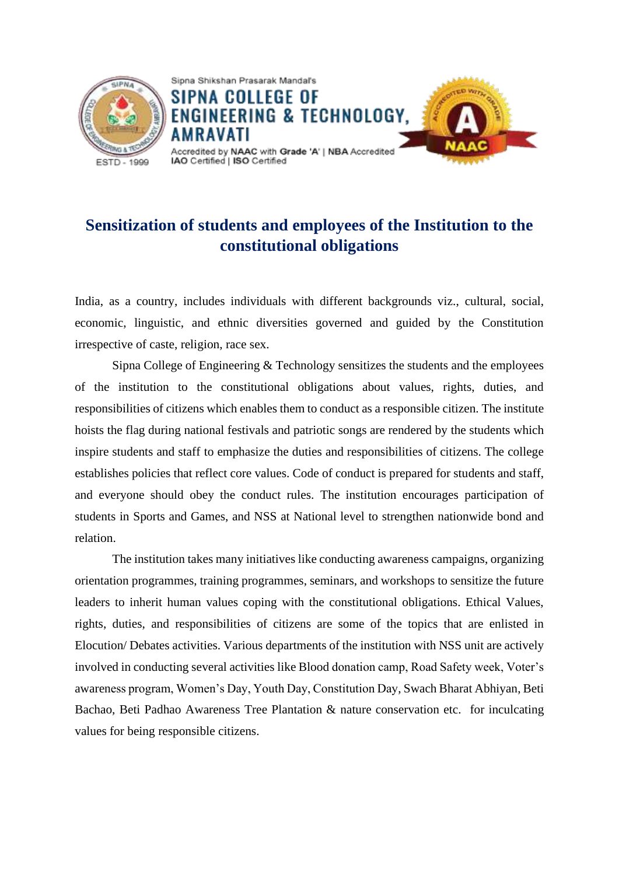

# **Sensitization of students and employees of the Institution to the constitutional obligations**

India, as a country, includes individuals with different backgrounds viz., cultural, social, economic, linguistic, and ethnic diversities governed and guided by the Constitution irrespective of caste, religion, race sex.

Sipna College of Engineering & Technology sensitizes the students and the employees of the institution to the constitutional obligations about values, rights, duties, and responsibilities of citizens which enables them to conduct as a responsible citizen. The institute hoists the flag during national festivals and patriotic songs are rendered by the students which inspire students and staff to emphasize the duties and responsibilities of citizens. The college establishes policies that reflect core values. Code of conduct is prepared for students and staff, and everyone should obey the conduct rules. The institution encourages participation of students in Sports and Games, and NSS at National level to strengthen nationwide bond and relation.

The institution takes many initiatives like conducting awareness campaigns, organizing orientation programmes, training programmes, seminars, and workshops to sensitize the future leaders to inherit human values coping with the constitutional obligations. Ethical Values, rights, duties, and responsibilities of citizens are some of the topics that are enlisted in Elocution/ Debates activities. Various departments of the institution with NSS unit are actively involved in conducting several activities like Blood donation camp, Road Safety week, Voter's awareness program, Women's Day, Youth Day, Constitution Day, Swach Bharat Abhiyan, Beti Bachao, Beti Padhao Awareness Tree Plantation & nature conservation etc. for inculcating values for being responsible citizens.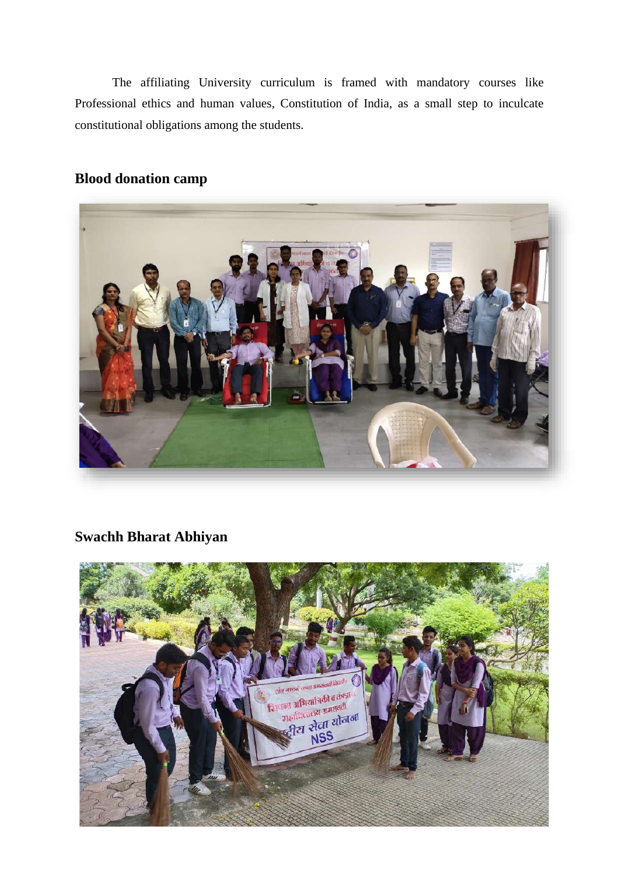The affiliating University curriculum is framed with mandatory courses like Professional ethics and human values, Constitution of India, as a small step to inculcate constitutional obligations among the students.

#### **Blood donation camp**



### **Swachh Bharat Abhiyan**

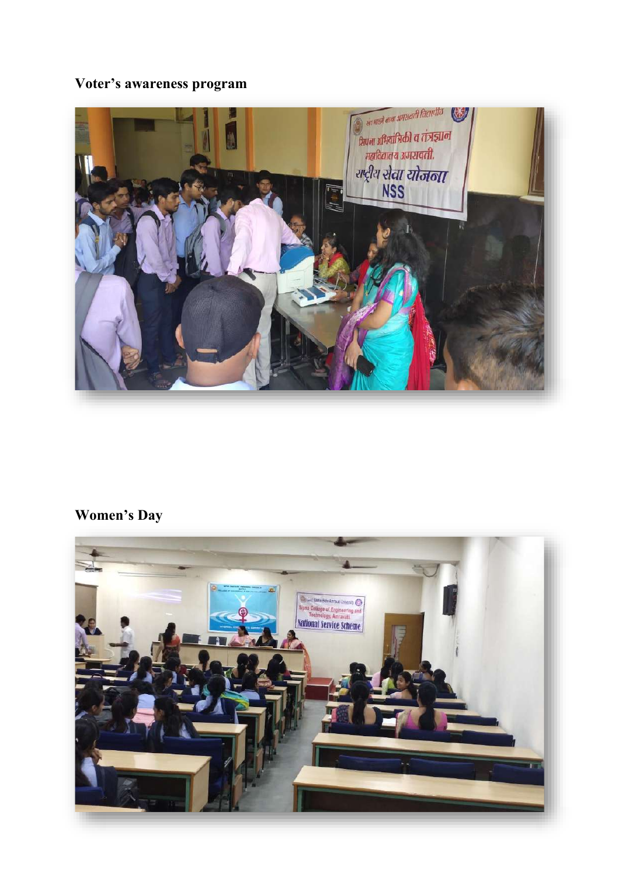# **Voter's awareness program**



# **Women's Day**

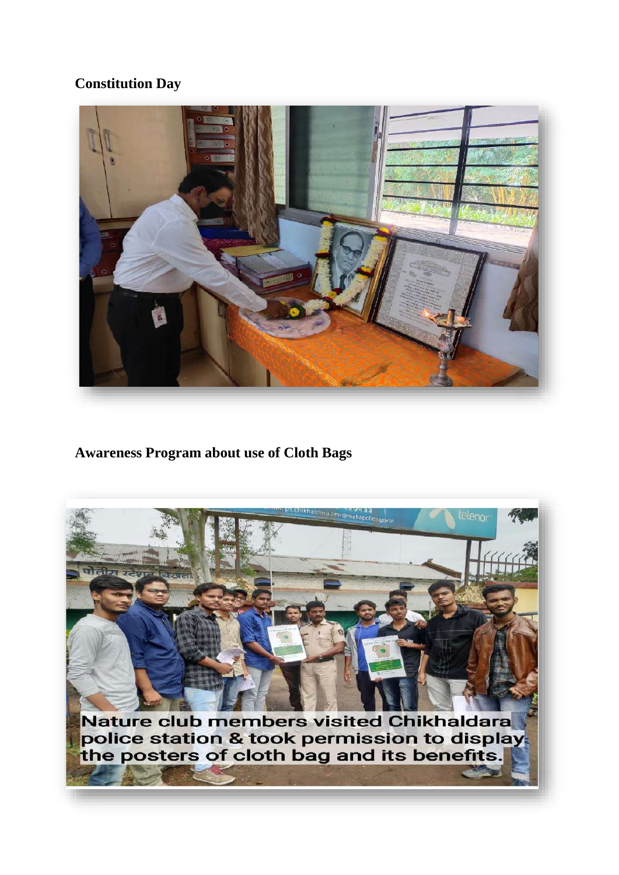#### **Constitution Day**



#### **Awareness Program about use of Cloth Bags**

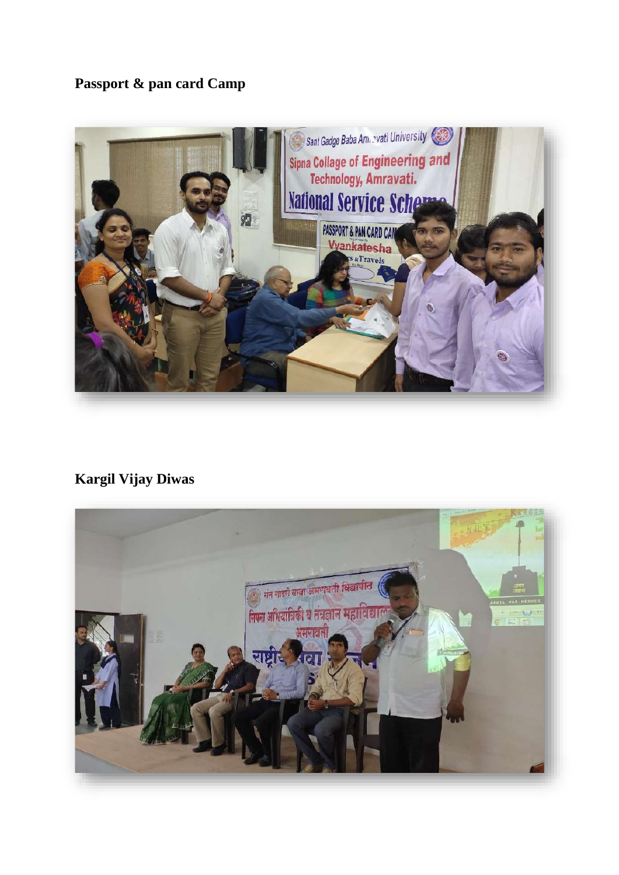# **Passport & pan card Camp**



# **Kargil Vijay Diwas**